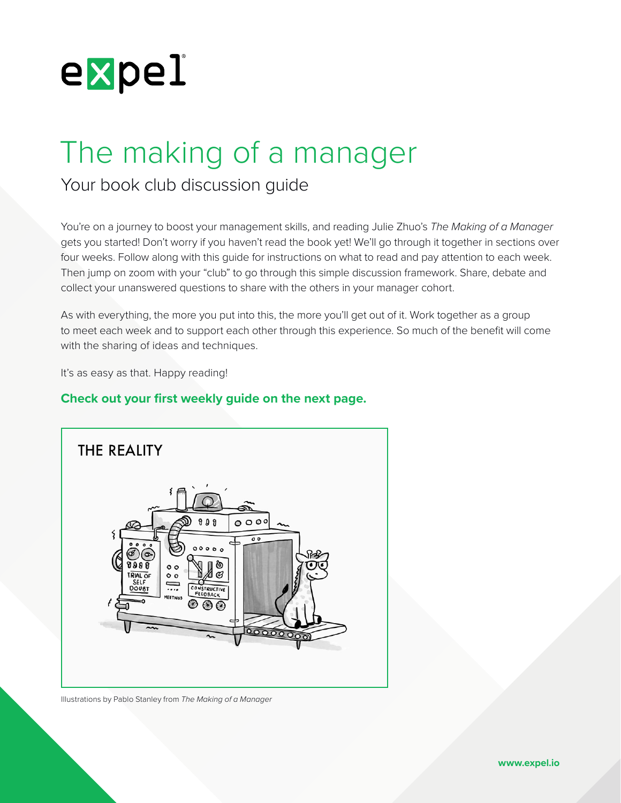

# The making of a manager

Your book club discussion guide

You're on a journey to boost your management skills, and reading Julie Zhuo's *The Making of a Manager* gets you started! Don't worry if you haven't read the book yet! We'll go through it together in sections over four weeks. Follow along with this guide for instructions on what to read and pay attention to each week. Then jump on zoom with your "club" to go through this simple discussion framework. Share, debate and collect your unanswered questions to share with the others in your manager cohort.

As with everything, the more you put into this, the more you'll get out of it. Work together as a group to meet each week and to support each other through this experience. So much of the benefit will come with the sharing of ideas and techniques.

It's as easy as that. Happy reading!

# **Check out your first weekly guide on the next page.**



Illustrations by Pablo Stanley from *The Making of a Manager*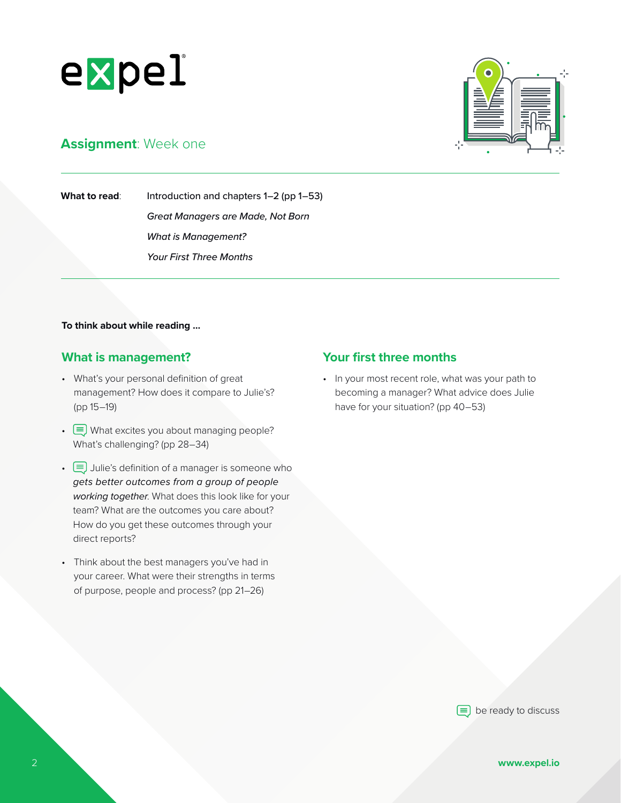

# **Assignment**: Week one

**What to read:** Introduction and chapters 1–2 (pp 1–53) *Great Managers are Made, Not Born*

> *What is Management? Your First Three Months*

#### **To think about while reading ...**

## **What is management?**

- What's your personal definition of great management? How does it compare to Julie's? (pp 15–19)
- $\equiv$  What excites you about managing people? What's challenging? (pp 28–34)
- $\equiv$  Julie's definition of a manager is someone who *gets better outcomes from a group of people working together*. What does this look like for your team? What are the outcomes you care about? How do you get these outcomes through your direct reports?
- Think about the best managers you've had in your career. What were their strengths in terms of purpose, people and process? (pp 21–26)

# **Your first three months**

• In your most recent role, what was your path to becoming a manager? What advice does Julie have for your situation? (pp 40–53)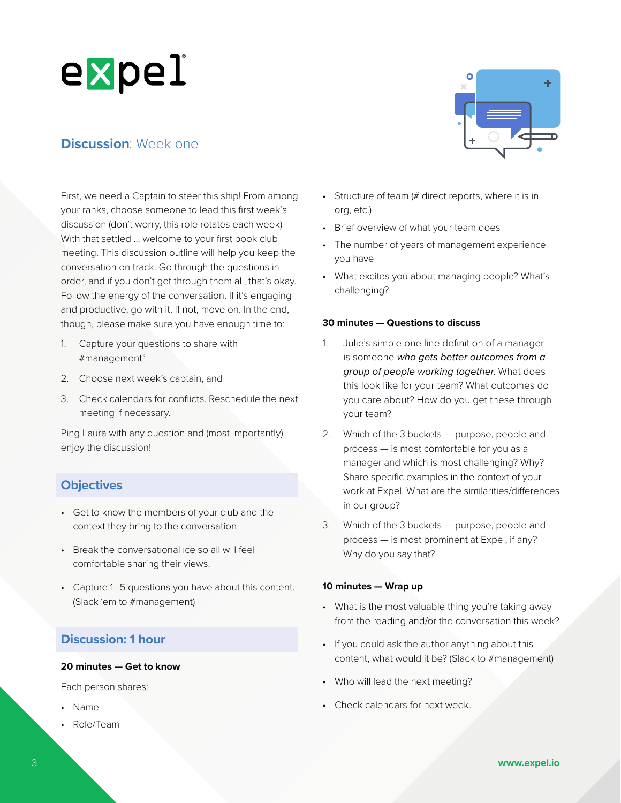# **Discussion**: Week one

First, we need a Captain to steer this ship! From among your ranks, choose someone to lead this first week's discussion (don't worry, this role rotates each week) With that settled ... welcome to your first book club meeting. This discussion outline will help you keep the conversation on track. Go through the questions in order, and if you don't get through them all, that's okay. Follow the energy of the conversation. If it's engaging and productive, go with it. If not, move on. In the end, though, please make sure you have enough time to:

- 1. Capture your questions to share with #management"
- 2. Choose next week's captain, and
- 3. Check calendars for conflicts. Reschedule the next meeting if necessary.

Ping Laura with any question and (most importantly) enjoy the discussion!

# **Objectives**

- Get to know the members of your club and the context they bring to the conversation.
- Break the conversational ice so all will feel comfortable sharing their views.
- Capture 1–5 questions you have about this content. (Slack 'em to #management)

# **Discussion: 1 hour**

### **20 minutes — Get to know**

Each person shares:

- Name
- Role/Team



- Structure of team (# direct reports, where it is in org, etc.)
- Brief overview of what your team does
- The number of years of management experience you have
- What excites you about managing people? What's challenging?

#### **30 minutes — Questions to discuss**

- 1. Julie's simple one line definition of a manager is someone *who gets better outcomes from a group of people working together*. What does this look like for your team? What outcomes do you care about? How do you get these through your team?
- 2. Which of the 3 buckets purpose, people and process — is most comfortable for you as a manager and which is most challenging? Why? Share specific examples in the context of your work at Expel. What are the similarities/differences in our group?
- 3. Which of the 3 buckets purpose, people and process — is most prominent at Expel, if any? Why do you say that?

#### **10 minutes — Wrap up**

- What is the most valuable thing you're taking away from the reading and/or the conversation this week?
- If you could ask the author anything about this content, what would it be? (Slack to #management)
- Who will lead the next meeting?
- Check calendars for next week.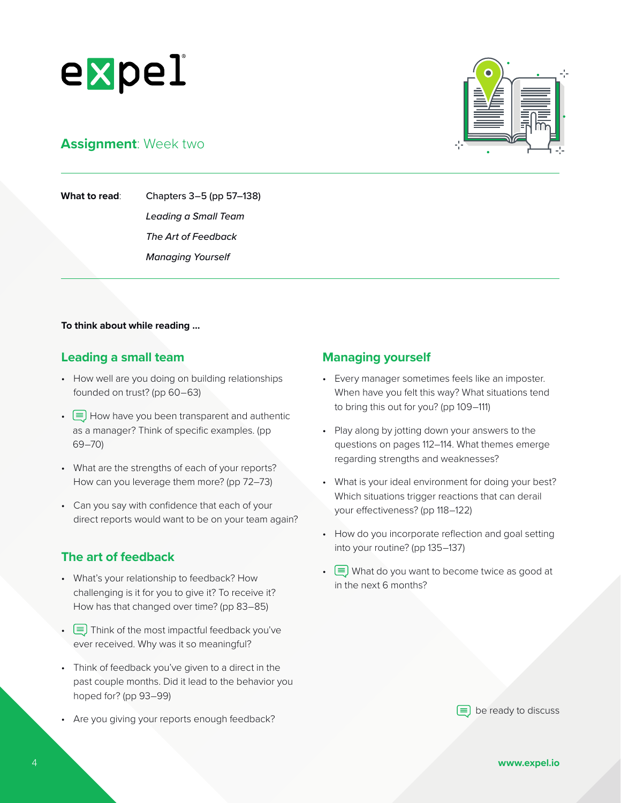

# **Assignment**: Week two

**What to read**: Chapters 3–5 (pp 57–138)

*Leading a Small Team*

*The Art of Feedback*

*Managing Yourself*

### **To think about while reading ...**

# **Leading a small team**

- How well are you doing on building relationships founded on trust? (pp 60–63)
- $\bullet$   $\equiv$  How have you been transparent and authentic as a manager? Think of specific examples. (pp 69–70)
- What are the strengths of each of your reports? How can you leverage them more? (pp 72–73)
- Can you say with confidence that each of your direct reports would want to be on your team again?

# **The art of feedback**

- What's your relationship to feedback? How challenging is it for you to give it? To receive it? How has that changed over time? (pp 83–85)
- $\equiv$  Think of the most impactful feedback you've ever received. Why was it so meaningful?
- Think of feedback you've given to a direct in the past couple months. Did it lead to the behavior you hoped for? (pp 93–99)
- Are you giving your reports enough feedback?

# **Managing yourself**

- Every manager sometimes feels like an imposter. When have you felt this way? What situations tend to bring this out for you? (pp 109–111)
- Play along by jotting down your answers to the questions on pages 112–114. What themes emerge regarding strengths and weaknesses?
- What is your ideal environment for doing your best? Which situations trigger reactions that can derail your effectiveness? (pp 118–122)
- How do you incorporate reflection and goal setting into your routine? (pp 135–137)
- $\equiv$  What do you want to become twice as good at in the next 6 months?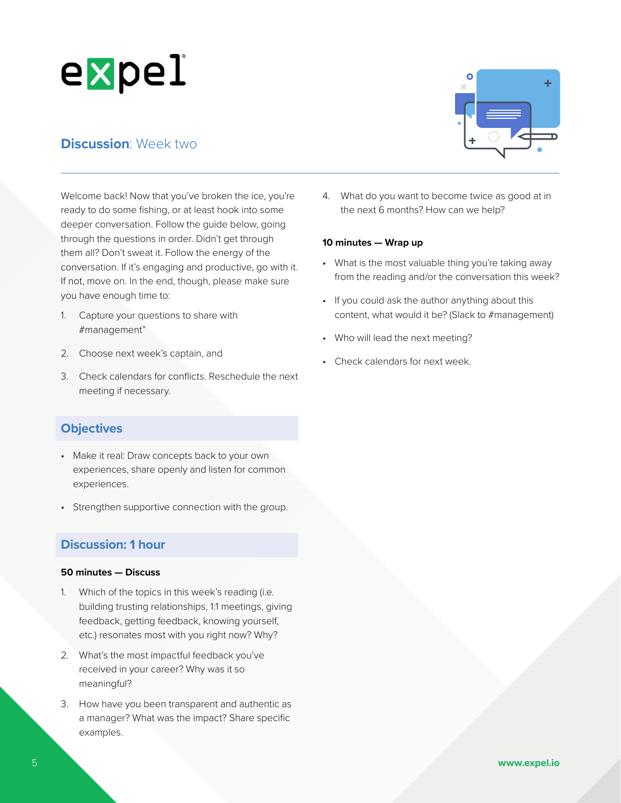# **Discussion**: Week two

Welcome back! Now that you've broken the ice, you're ready to do some fishing, or at least hook into some deeper conversation. Follow the guide below, going through the questions in order. Didn't get through them all? Don't sweat it. Follow the energy of the conversation. If it's engaging and productive, go with it. If not, move on. In the end, though, please make sure you have enough time to:

- 1. Capture your questions to share with #management"
- 2. Choose next week's captain, and
- 3. Check calendars for conflicts. Reschedule the next meeting if necessary.

# **Objectives**

- Make it real: Draw concepts back to your own experiences, share openly and listen for common experiences.
- Strengthen supportive connection with the group.

# **Discussion: 1 hour**

#### **50 minutes — Discuss**

- 1. Which of the topics in this week's reading (i.e. building trusting relationships, 1:1 meetings, giving feedback, getting feedback, knowing yourself, etc.) resonates most with you right now? Why?
- 2. What's the most impactful feedback you've received in your career? Why was it so meaningful?
- 3. How have you been transparent and authentic as a manager? What was the impact? Share specific examples.

4. What do you want to become twice as good at in the next 6 months? How can we help?

### **10 minutes — Wrap up**

- What is the most valuable thing you're taking away from the reading and/or the conversation this week?
- If you could ask the author anything about this content, what would it be? (Slack to #management)
- Who will lead the next meeting?
- Check calendars for next week.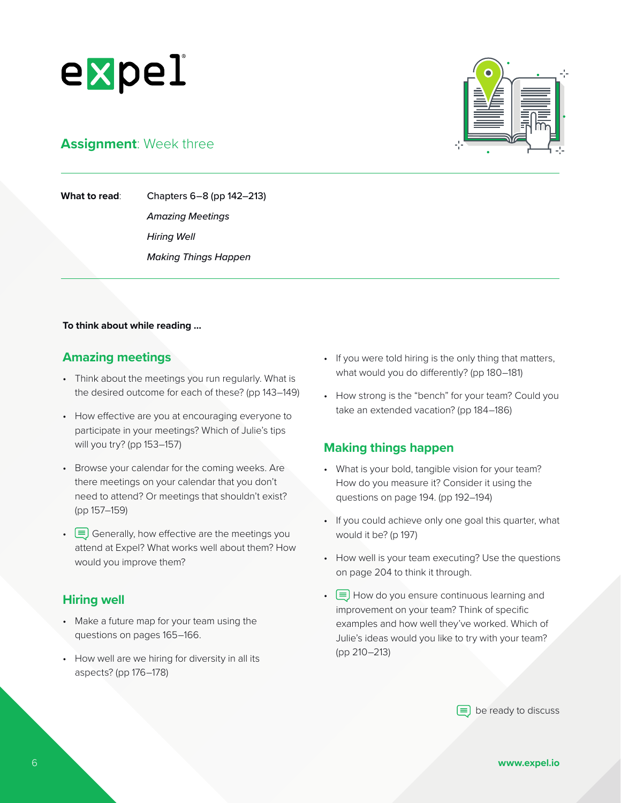



# **Assignment**: Week three

**What to read**: Chapters 6–8 (pp 142–213) *Amazing Meetings*

*Hiring Well Making Things Happen*

#### **To think about while reading ...**

# **Amazing meetings**

- Think about the meetings you run regularly. What is the desired outcome for each of these? (pp 143–149)
- How effective are you at encouraging everyone to participate in your meetings? Which of Julie's tips will you try? (pp 153–157)
- Browse your calendar for the coming weeks. Are there meetings on your calendar that you don't need to attend? Or meetings that shouldn't exist? (pp 157–159)
- $\equiv$  Generally, how effective are the meetings you attend at Expel? What works well about them? How would you improve them?

### **Hiring well**

- Make a future map for your team using the questions on pages 165–166.
- How well are we hiring for diversity in all its aspects? (pp 176–178)
- If you were told hiring is the only thing that matters, what would you do differently? (pp 180–181)
- How strong is the "bench" for your team? Could you take an extended vacation? (pp 184–186)

# **Making things happen**

- What is your bold, tangible vision for your team? How do you measure it? Consider it using the questions on page 194. (pp 192–194)
- If you could achieve only one goal this quarter, what would it be? (p 197)
- How well is your team executing? Use the questions on page 204 to think it through.
- $\equiv$  How do you ensure continuous learning and improvement on your team? Think of specific examples and how well they've worked. Which of Julie's ideas would you like to try with your team? (pp 210–213)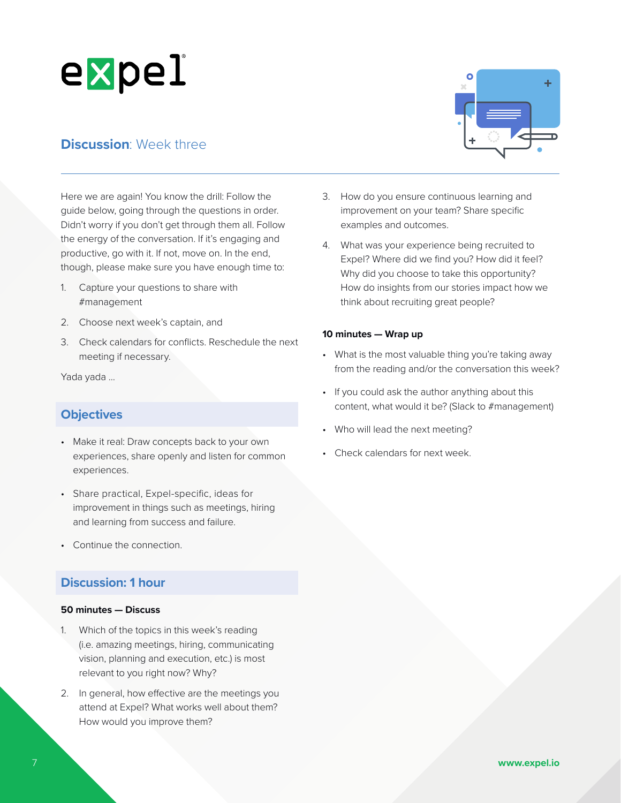# **Discussion: Week three**

Here we are again! You know the drill: Follow the guide below, going through the questions in order. Didn't worry if you don't get through them all. Follow the energy of the conversation. If it's engaging and productive, go with it. If not, move on. In the end, though, please make sure you have enough time to:

- 1. Capture your questions to share with #management
- 2. Choose next week's captain, and
- 3. Check calendars for conflicts. Reschedule the next meeting if necessary.

Yada yada ...

# **Objectives**

- Make it real: Draw concepts back to your own experiences, share openly and listen for common experiences.
- Share practical, Expel-specific, ideas for improvement in things such as meetings, hiring and learning from success and failure.
- Continue the connection.

# **Discussion: 1 hour**

#### **50 minutes — Discuss**

- 1. Which of the topics in this week's reading (i.e. amazing meetings, hiring, communicating vision, planning and execution, etc.) is most relevant to you right now? Why?
- 2. In general, how effective are the meetings you attend at Expel? What works well about them? How would you improve them?



- 3. How do you ensure continuous learning and improvement on your team? Share specific examples and outcomes.
- 4. What was your experience being recruited to Expel? Where did we find you? How did it feel? Why did you choose to take this opportunity? How do insights from our stories impact how we think about recruiting great people?

#### **10 minutes — Wrap up**

- What is the most valuable thing you're taking away from the reading and/or the conversation this week?
- If you could ask the author anything about this content, what would it be? (Slack to #management)
- Who will lead the next meeting?
- Check calendars for next week.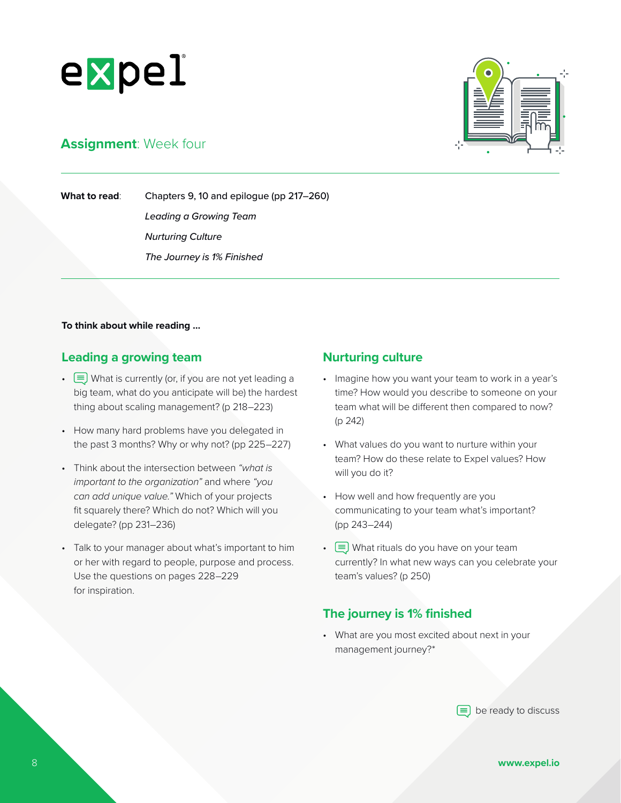

# **Assignment**: Week four

**What to read**: Chapters 9, 10 and epilogue (pp 217–260) *Leading a Growing Team Nurturing Culture The Journey is 1% Finished*

### **To think about while reading ...**

# **Leading a growing team**

- $\equiv$  What is currently (or, if you are not yet leading a big team, what do you anticipate will be) the hardest thing about scaling management? (p 218–223)
- How many hard problems have you delegated in the past 3 months? Why or why not? (pp 225–227)
- Think about the intersection between *"what is important to the organization"* and where *"you can add unique value."* Which of your projects fit squarely there? Which do not? Which will you delegate? (pp 231–236)
- Talk to your manager about what's important to him or her with regard to people, purpose and process. Use the questions on pages 228–229 for inspiration.

## **Nurturing culture**

- Imagine how you want your team to work in a year's time? How would you describe to someone on your team what will be different then compared to now? (p 242)
- What values do you want to nurture within your team? How do these relate to Expel values? How will you do it?
- How well and how frequently are you communicating to your team what's important? (pp 243–244)
- $\equiv$  What rituals do you have on your team currently? In what new ways can you celebrate your team's values? (p 250)

# **The journey is 1% finished**

• What are you most excited about next in your management journey?\*